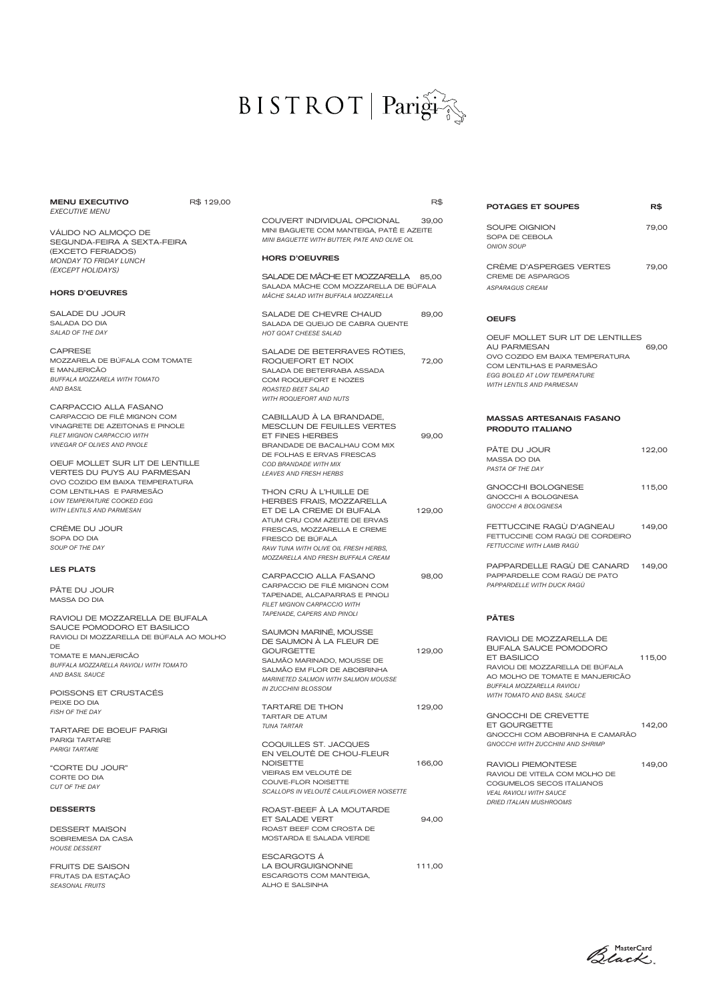# $\text{BISTROT} \mid \text{Pari}\widehat{\mathbf{g}}\widehat{\mathbf{f}}$

| <b>MENU EXECUTIVO</b><br><b>EXECUTIVE MENU</b>                       | R\$ 129,00 |                                                                              | R\$    | <b>POTAGES ET SOUPES</b>                                           | R\$    |
|----------------------------------------------------------------------|------------|------------------------------------------------------------------------------|--------|--------------------------------------------------------------------|--------|
|                                                                      |            | COUVERT INDIVIDUAL OPCIONAL                                                  | 39,00  |                                                                    |        |
| VÁLIDO NO ALMOÇO DE                                                  |            | MINI BAGUETE COM MANTEIGA, PATÊ E AZEITE                                     |        | SOUPE OIGNION<br>SOPA DE CEBOLA                                    | 79,00  |
| SEGUNDA-FEIRA A SEXTA-FEIRA                                          |            | MINI BAGUETTE WITH BUTTER, PATE AND OLIVE OIL                                |        | <b>ONION SOUP</b>                                                  |        |
| (EXCETO FERIADOS)<br><b>MONDAY TO FRIDAY LUNCH</b>                   |            | <b>HORS D'OEUVRES</b>                                                        |        |                                                                    |        |
| (EXCEPT HOLIDAYS)                                                    |            |                                                                              |        | CRÈME D'ASPERGES VERTES                                            | 79,00  |
|                                                                      |            | SALADE DE MÂCHE ET MOZZARELLA 85,00                                          |        | <b>CREME DE ASPARGOS</b>                                           |        |
| <b>HORS D'OEUVRES</b>                                                |            | SALADA MÂCHE COM MOZZARELLA DE BÚFALA<br>MÂCHE SALAD WITH BUFFALA MOZZARELLA |        | <b>ASPARAGUS CREAM</b>                                             |        |
| SALADE DU JOUR                                                       |            | SALADE DE CHEVRE CHAUD                                                       | 89,00  | <b>OEUFS</b>                                                       |        |
| SALADA DO DIA<br>SALAD OF THE DAY                                    |            | SALADA DE QUEIJO DE CABRA QUENTE                                             |        |                                                                    |        |
|                                                                      |            | HOT GOAT CHEESE SALAD                                                        |        | OEUF MOLLET SUR LIT DE LENTILLES                                   |        |
| <b>CAPRESE</b>                                                       |            | SALADE DE BETERRAVES RÔTIES.                                                 |        | <b>AU PARMESAN</b>                                                 | 69,00  |
| MOZZARELA DE BÚFALA COM TOMATE                                       |            | ROQUEFORT ET NOIX                                                            | 72,00  | OVO COZIDO EM BAIXA TEMPERATURA<br>COM LENTILHAS E PARMESÃO        |        |
| E MANJERICÃO<br>BUFFALA MOZZARELA WITH TOMATO                        |            | SALADA DE BETERRABA ASSADA                                                   |        | <b>EGG BOILED AT LOW TEMPERATURE</b>                               |        |
| AND BASIL                                                            |            | COM ROQUEFORT E NOZES<br><b>ROASTED BEET SALAD</b>                           |        | WITH LENTILS AND PARMESAN                                          |        |
|                                                                      |            | <b>WITH ROQUEFORT AND NUTS</b>                                               |        |                                                                    |        |
| CARPACCIO ALLA FASANO                                                |            |                                                                              |        |                                                                    |        |
| CARPACCIO DE FILÉ MIGNON COM                                         |            | CABILLAUD À LA BRANDADE,                                                     |        | <b>MASSAS ARTESANAIS FASANO</b>                                    |        |
| VINAGRETE DE AZEITONAS E PINOLE<br>FILET MIGNON CARPACCIO WITH       |            | MESCLUN DE FEUILLES VERTES<br>ET FINES HERBES                                | 99,00  | <b>PRODUTO ITALIANO</b>                                            |        |
| VINEGAR OF OLIVES AND PINOLE                                         |            | BRANDADE DE BACALHAU COM MIX                                                 |        |                                                                    |        |
|                                                                      |            | DE FOLHAS E ERVAS FRESCAS                                                    |        | PÂTE DU JOUR                                                       | 122,00 |
| OEUF MOLLET SUR LIT DE LENTILLE                                      |            | COD BRANDADE WITH MIX                                                        |        | <b>MASSA DO DIA</b><br>PASTA OF THE DAY                            |        |
| <b>VERTES DU PUYS AU PARMESAN</b><br>OVO COZIDO EM BAIXA TEMPERATURA |            | <b>LEAVES AND FRESH HERBS</b>                                                |        |                                                                    |        |
| COM LENTILHAS E PARMESÃO                                             |            | THON CRU À L'HUILLE DE                                                       |        | GNOCCHI BOLOGNESE                                                  | 115,00 |
| LOW TEMPERATURE COOKED EGG                                           |            | HERBES FRAIS, MOZZARELLA                                                     |        | GNOCCHI A BOLOGNESA                                                |        |
| WITH LENTILS AND PARMESAN                                            |            | ET DE LA CREME DI BUFALA                                                     | 129,00 | GNOCCHI A BOLOGNESA                                                |        |
|                                                                      |            | ATUM CRU COM AZEITE DE ERVAS                                                 |        | FETTUCCINE RAGÙ D'AGNEAU                                           | 149,00 |
| CREME DU JOUR<br>SOPA DO DIA                                         |            | FRESCAS, MOZZARELLA E CREME<br>FRESCO DE BÚFALA                              |        | FETTUCCINE COM RAGÙ DE CORDEIRO                                    |        |
| SOUP OF THE DAY                                                      |            | RAW TUNA WITH OLIVE OIL FRESH HERBS.                                         |        | FETTUCCINE WITH LAMB RAGU                                          |        |
|                                                                      |            | MOZZARELLA AND FRESH BUFFALA CREAM                                           |        |                                                                    |        |
| <b>LES PLATS</b>                                                     |            |                                                                              |        | PAPPARDELLE RAGU DE CANARD                                         | 149,00 |
|                                                                      |            | CARPACCIO ALLA FASANO<br>CARPACCIO DE FILÉ MIGNON COM                        | 98,00  | PAPPARDELLE COM RAGÙ DE PATO<br>PAPPARDELLE WITH DUCK RAGU         |        |
| PÂTE DU JOUR                                                         |            | TAPENADE, ALCAPARRAS E PINOLI                                                |        |                                                                    |        |
| <b>MASSA DO DIA</b>                                                  |            | FILET MIGNON CARPACCIO WITH                                                  |        |                                                                    |        |
| RAVIOLI DE MOZZARELLA DE BUFALA                                      |            | TAPENADE, CAPERS AND PINOLI                                                  |        | <b>PÂTES</b>                                                       |        |
| SAUCE POMODORO ET BASILICO                                           |            | SAUMON MARINÉ, MOUSSE                                                        |        |                                                                    |        |
| RAVIOLI DI MOZZARELLA DE BÚFALA AO MOLHO                             |            | DE SAUMON À LA FLEUR DE                                                      |        | RAVIOLI DE MOZZARELLA DE                                           |        |
| DE.                                                                  |            | <b>GOURGETTE</b>                                                             | 129,00 | <b>BUFALA SAUCE POMODORO</b>                                       |        |
| TOMATE E MANJERICÃO<br>BUFFALA MOZZARELLA RAVIOLI WITH TOMATO        |            | SALMÃO MARINADO, MOUSSE DE                                                   |        | ET BASILICO                                                        | 115,00 |
| AND BASIL SAUCE                                                      |            | SALMÃO EM FLOR DE ABOBRINHA                                                  |        | RAVIOLI DE MOZZARELLA DE BÚFALA<br>AO MOLHO DE TOMATE E MANJERICÃO |        |
|                                                                      |            | MARINETED SALMON WITH SALMON MOUSSE<br><b>IN ZUCCHINI BLOSSOM</b>            |        | BUFFALA MOZZARELLA RAVIOLI                                         |        |
| POISSONS ET CRUSTACES                                                |            |                                                                              |        | WITH TOMATO AND BASIL SAUCE                                        |        |
| PEIXE DO DIA<br>FISH OF THE DAY                                      |            | <b>TARTARE DE THON</b>                                                       | 129,00 |                                                                    |        |
|                                                                      |            | <b>TARTAR DE ATUM</b>                                                        |        | <b>GNOCCHI DE CREVETTE</b>                                         |        |
| <b>TARTARE DE BOEUF PARIGI</b>                                       |            | TUNA TARTAR                                                                  |        | ET GOURGETTE<br>GNOCCHI COM ABOBRINHA E CAMARÃO                    | 142,00 |
| PARIGI TARTARE                                                       |            | COQUILLES ST. JACQUES                                                        |        | GNOCCHI WITH ZUCCHINI AND SHRIMP                                   |        |
| <b>PARIGI TARTARE</b>                                                |            | EN VELOUTÉ DE CHOU-FLEUR                                                     |        |                                                                    |        |
| "CORTE DU JOUR"                                                      |            | <b>NOISETTE</b>                                                              | 166,00 | RAVIOLI PIEMONTESE                                                 | 149,00 |
| CORTE DO DIA                                                         |            | VIEIRAS EM VELOUTÉ DE<br>COUVE-FLOR NOISETTE                                 |        | RAVIOLI DE VITELA COM MOLHO DE                                     |        |
| CUT OF THE DAY                                                       |            | SCALLOPS IN VELOUTE CAULIFLOWER NOISETTE                                     |        | COGUMELOS SECOS ITALIANOS<br><b>VEAL RAVIOLI WITH SAUCE</b>        |        |
|                                                                      |            |                                                                              |        | <b>DRIED ITALIAN MUSHROOMS</b>                                     |        |
| <b>DESSERTS</b>                                                      |            | ROAST-BEEF A LA MOUTARDE                                                     |        |                                                                    |        |
|                                                                      |            | ET SALADE VERT<br>ROAST BEEF COM CROSTA DE                                   | 94,00  |                                                                    |        |
| <b>DESSERT MAISON</b><br>SOBREMESA DA CASA                           |            | MOSTARDA E SALADA VERDE                                                      |        |                                                                    |        |
| <b>HOUSE DESSERT</b>                                                 |            |                                                                              |        |                                                                    |        |
|                                                                      |            | <b>ESCARGOTS A</b>                                                           |        |                                                                    |        |
| <b>FRUITS DE SAISON</b>                                              |            | LA BOURGUIGNONNE                                                             | 111,00 |                                                                    |        |
|                                                                      |            | ESCARGOTS COM MANTEIGA,                                                      |        |                                                                    |        |
| FRUTAS DA ESTAÇÃO<br><b>SEASONAL FRUITS</b>                          |            | ALHO E SALSINHA                                                              |        |                                                                    |        |

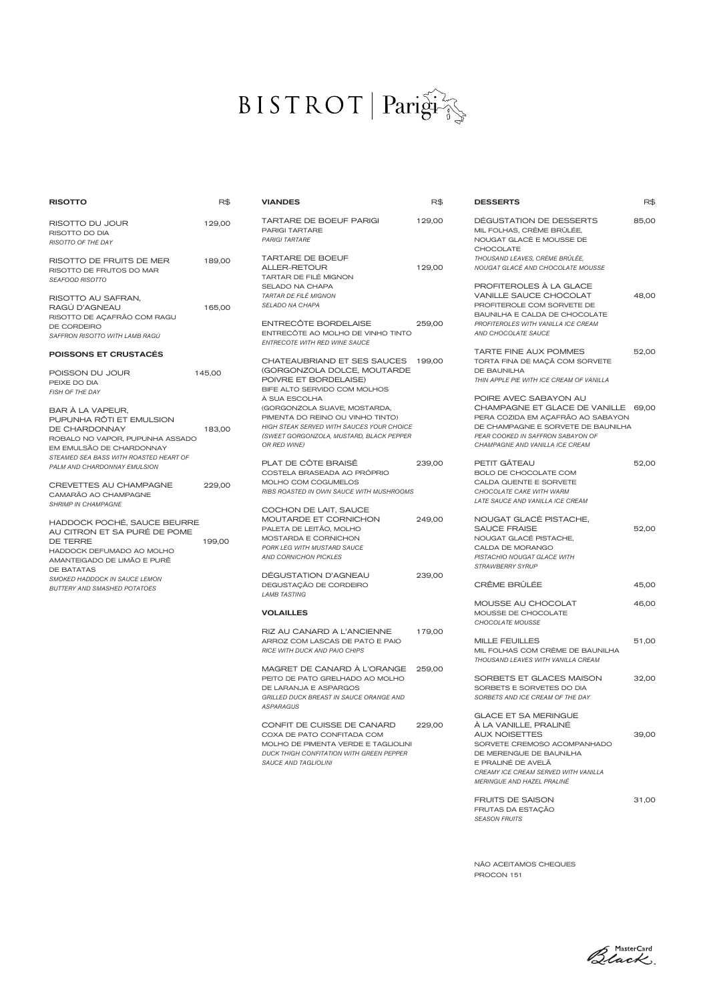## $BISTROT | Pari\hat{g}\hat{i}\hat{g}$

| <b>RISOTTO</b>                                                                                                                            | R\$    | <b>VIANDES</b>                                                                                                                                                                    | R\$    | <b>DESSERTS</b>                                                                                                                                                                                                                    | R\$   |
|-------------------------------------------------------------------------------------------------------------------------------------------|--------|-----------------------------------------------------------------------------------------------------------------------------------------------------------------------------------|--------|------------------------------------------------------------------------------------------------------------------------------------------------------------------------------------------------------------------------------------|-------|
| RISOTTO DU JOUR<br>RISOTTO DO DIA<br>RISOTTO OF THE DAY                                                                                   | 129,00 | <b>TARTARE DE BOEUF PARIGI</b><br>PARIGI TARTARE<br><b>PARIGI TARTARE</b>                                                                                                         | 129,00 | DEGUSTATION DE DESSERTS<br>MIL FOLHAS, CRÈME BRÛLÉE,<br>NOUGAT GLACÈ E MOUSSE DE                                                                                                                                                   | 85,00 |
| RISOTTO DE FRUITS DE MER<br>RISOTTO DE FRUTOS DO MAR<br>SEAFOOD RISOTTO                                                                   | 189,00 | <b>TARTARE DE BOEUF</b><br>ALLER-RETOUR<br>TARTAR DE FILÉ MIGNON                                                                                                                  | 129,00 | <b>CHOCOLATE</b><br>THOUSAND LEAVES, CRÈME BRÛLÉE,<br>NOUGAT GLACÈ AND CHOCOLATE MOUSSE                                                                                                                                            |       |
| RISOTTO AU SAFRAN,<br>RAGU D'AGNEAU<br>RISOTTO DE AÇAFRÃO COM RAGU                                                                        | 165,00 | SELADO NA CHAPA<br>TARTAR DE FILÉ MIGNON<br>SELADO NA CHAPA                                                                                                                       |        | PROFITEROLES À LA GLACE<br>VANILLE SAUCE CHOCOLAT<br>PROFITEROLE COM SORVETE DE<br>BAUNILHA E CALDA DE CHOCOLATE                                                                                                                   | 48,00 |
| DE CORDEIRO<br>SAFFRON RISOTTO WITH LAMB RAGÙ                                                                                             |        | ENTRECÔTE BORDELAISE<br>ENTRECÔTE AO MOLHO DE VINHO TINTO<br>ENTRECOTE WITH RED WINE SAUCE                                                                                        | 259,00 | PROFITEROLES WITH VANILLA ICE CREAM<br>AND CHOCOLATE SAUCE                                                                                                                                                                         |       |
| <b>POISSONS ET CRUSTACÉS</b>                                                                                                              |        | CHATEAUBRIAND ET SES SAUCES 199,00                                                                                                                                                |        | <b>TARTE FINE AUX POMMES</b><br>TORTA FINA DE MAÇÃ COM SORVETE                                                                                                                                                                     | 52,00 |
| POISSON DU JOUR<br>PEIXE DO DIA<br><b>FISH OF THE DAY</b>                                                                                 | 145,00 | (GORGONZOLA DOLCE, MOUTARDE<br>POIVRE ET BORDELAISE)<br>BIFE ALTO SERVIDO COM MOLHOS                                                                                              |        | DE BAUNILHA<br>THIN APPLE PIE WITH ICE CREAM OF VANILLA                                                                                                                                                                            |       |
| BAR A LA VAPEUR,<br>PUPUNHA RÔTI ET EMULSION<br>DE CHARDONNAY<br>ROBALO NO VAPOR, PUPUNHA ASSADO                                          | 183,00 | À SUA ESCOLHA<br>(GORGONZOLA SUAVE, MOSTARDA,<br>PIMENTA DO REINO OU VINHO TINTO)<br>HIGH STEAK SERVED WITH SAUCES YOUR CHOICE<br>(SWEET GORGONZOLA, MUSTARD, BLACK PEPPER        |        | POIRE AVEC SABAYON AU<br>CHAMPAGNE ET GLACE DE VANILLE 69,00<br>PERA COZIDA EM AÇAFRÃO AO SABAYON<br>DE CHAMPAGNE E SORVETE DE BAUNILHA<br>PEAR COOKED IN SAFFRON SABAYON OF                                                       |       |
| EM EMULSÃO DE CHARDONNAY<br>STEAMED SEA BASS WITH ROASTED HEART OF                                                                        |        | OR RED WINE)<br>PLAT DE CÔTE BRAISÊ                                                                                                                                               | 239,00 | CHAMPAGNE AND VANILLA ICE CREAM<br>PETIT GÂTEAU                                                                                                                                                                                    | 52,00 |
| PALM AND CHARDONNAY EMULSION<br>CREVETTES AU CHAMPAGNE<br>CAMARÃO AO CHAMPAGNE                                                            | 229,00 | COSTELA BRASEADA AO PRÓPRIO<br>MOLHO COM COGUMELOS<br>RIBS ROASTED IN OWN SAUCE WITH MUSHROOMS                                                                                    |        | BOLO DE CHOCOLATE COM<br>CALDA QUENTE E SORVETE<br>CHOCOLATE CAKE WITH WARM<br>LATE SAUCE AND VANILLA ICE CREAM                                                                                                                    |       |
| <b>SHRIMP IN CHAMPAGNE</b><br>HADDOCK POCHÉ, SAUCE BEURRE<br>AU CITRON ET SA PURÉ DE POME<br><b>DE TERRE</b><br>HADDOCK DEFUMADO AO MOLHO | 199,00 | COCHON DE LAIT, SAUCE<br>MOUTARDE ET CORNICHON<br>PALETA DE LEITÃO, MOLHO<br>MOSTARDA E CORNICHON<br>PORK LEG WITH MUSTARD SAUCE                                                  | 249,00 | NOUGAT GLACÈ PISTACHE,<br><b>SAUCE FRAISE</b><br>NOUGAT GLACÉ PISTACHE,<br>CALDA DE MORANGO                                                                                                                                        | 52,00 |
| AMANTEIGADO DE LIMÃO E PURÊ<br>DE BATATAS<br>SMOKED HADDOCK IN SAUCE LEMON                                                                |        | AND CORNICHON PICKLES<br>DEGUSTATION D'AGNEAU                                                                                                                                     | 239,00 | PISTACHIO NOUGAT GLACE WITH<br><b>STRAWBERRY SYRUP</b>                                                                                                                                                                             |       |
| <b>BUTTERY AND SMASHED POTATOES</b>                                                                                                       |        | DEGUSTAÇÃO DE CORDEIRO<br><b>LAMB TASTING</b>                                                                                                                                     |        | CRÊME BRÛLÉE                                                                                                                                                                                                                       | 45,00 |
|                                                                                                                                           |        | <b>VOLAILLES</b>                                                                                                                                                                  |        | MOUSSE AU CHOCOLAT<br>MOUSSE DE CHOCOLATE<br>CHOCOLATE MOUSSE                                                                                                                                                                      | 46,00 |
|                                                                                                                                           |        | RIZ AU CANARD A L'ANCIENNE<br>ARROZ COM LASCAS DE PATO E PAIO<br>RICE WITH DUCK AND PAIO CHIPS                                                                                    | 179,00 | <b>MILLE FEUILLES</b><br>MIL FOLHAS COM CRÈME DE BAUNILHA<br>THOUSAND LEAVES WITH VANILLA CREAM                                                                                                                                    | 51,00 |
|                                                                                                                                           |        | MAGRET DE CANARD À L'ORANGE<br>PEITO DE PATO GRELHADO AO MOLHO<br>DE LARANJA E ASPARGOS<br><b>GRILLED DUCK BREAST IN SAUCE ORANGE AND</b><br><b>ASPARAGUS</b>                     | 259,00 | SORBETS ET GLACES MAISON<br>SORBETS E SORVETES DO DIA<br>SORBETS AND ICE CREAM OF THE DAY                                                                                                                                          | 32,00 |
|                                                                                                                                           |        | CONFIT DE CUISSE DE CANARD<br>COXA DE PATO CONFITADA COM<br>MOLHO DE PIMENTA VERDE E TAGLIOLINI<br><b>DUCK THIGH CONFITATION WITH GREEN PEPPER</b><br><b>SAUCE AND TAGLIOLINI</b> | 229,00 | <b>GLACE ET SA MERINGUE</b><br>À LA VANILLE, PRALINÉ<br><b>AUX NOISETTES</b><br>SORVETE CREMOSO ACOMPANHADO<br>DE MERENGUE DE BAUNILHA<br>E PRALINÉ DE AVELA<br>CREAMY ICE CREAM SERVED WITH VANILLA<br>MERINGUE AND HAZEL PRALINÉ | 39,00 |
|                                                                                                                                           |        |                                                                                                                                                                                   |        | <b>FRUITS DE SAISON</b>                                                                                                                                                                                                            | 31,00 |

| <b>DESSERTS</b>                                                                                                                                                                                                                    | R\$   |
|------------------------------------------------------------------------------------------------------------------------------------------------------------------------------------------------------------------------------------|-------|
| DEGUSTATION DE DESSERTS<br>MIL FOLHAS, CRÈME BRÛLÉE,<br>NOUGAT GLACÈ E MOUSSE DE                                                                                                                                                   | 85,00 |
| <b>CHOCOLATE</b><br>THOUSAND LEAVES, CRÈME BRÛLÉE,<br>NOUGAT GLACÈ AND CHOCOLATE MOUSSE                                                                                                                                            |       |
| PROFITEROLES À LA GLACE<br><b>VANILLE SAUCE CHOCOLAT</b><br>PROFITEROLE COM SORVETE DE<br>BAUNILHA E CALDA DE CHOCOLATE<br>PROFITEROLES WITH VANILLA ICE CREAM<br>AND CHOCOLATE SAUCE                                              | 48,00 |
| <b>TARTE FINE AUX POMMES</b><br>TORTA FINA DE MAÇÃ COM SORVETE<br>DE BAUNILHA<br>THIN APPLE PIE WITH ICE CREAM OF VANILLA                                                                                                          | 52,00 |
| POIRE AVEC SABAYON AU<br>CHAMPAGNE ET GLACE DE VANILLE 69,00<br>PERA COZIDA EM ACAFRÃO AO SABAYON<br>DE CHAMPAGNE E SORVETE DE BAUNILHA<br>PEAR COOKED IN SAFFRON SABAYON OF<br>CHAMPAGNE AND VANILLA ICE CREAM                    |       |
| PETIT GÂTEAU<br>BOLO DE CHOCOLATE COM<br>CALDA QUENTE E SORVETE<br>CHOCOLATE CAKE WITH WARM<br>LATE SAUCE AND VANILLA ICE CREAM                                                                                                    | 52,00 |
| NOUGAT GLACÈ PISTACHE,<br><b>SAUCE FRAISE</b><br>NOUGAT GLACÉ PISTACHE,<br>CALDA DE MORANGO<br>PISTACHIO NOUGAT GLACE WITH<br><b>STRAWBERRY SYRUP</b>                                                                              | 52,00 |
| <b>CRÊME BRÛLÉE</b>                                                                                                                                                                                                                | 45,00 |
| <b>MOUSSE AU CHOCOLAT</b><br>MOUSSE DE CHOCOLATE<br>CHOCOLATE MOUSSE                                                                                                                                                               | 46,00 |
| <b>MILLE FEUILLES</b><br>MIL FOLHAS COM CRÈME DE BAUNILHA<br>THOUSAND LEAVES WITH VANILLA CREAM                                                                                                                                    | 51,00 |
| SORBETS ET GLACES MAISON<br>SORBETS E SORVETES DO DIA<br>SORBETS AND ICE CREAM OF THE DAY                                                                                                                                          | 32,00 |
| <b>GLACE ET SA MERINGUE</b><br>À LA VANILLE, PRALINÉ<br><b>AUX NOISETTES</b><br>SORVETE CREMOSO ACOMPANHADO<br>DE MERENGUE DE BAUNILHA<br>E PRALINÉ DE AVELÃ<br>CREAMY ICE CREAM SERVED WITH VANILLA<br>MERINGUE AND HAZEL PRALINÉ | 39,00 |

NÃO ACEITAMOS CHEQUES PROCON 151

FRUTAS DA ESTAÇÃO *SEASON FRUITS*

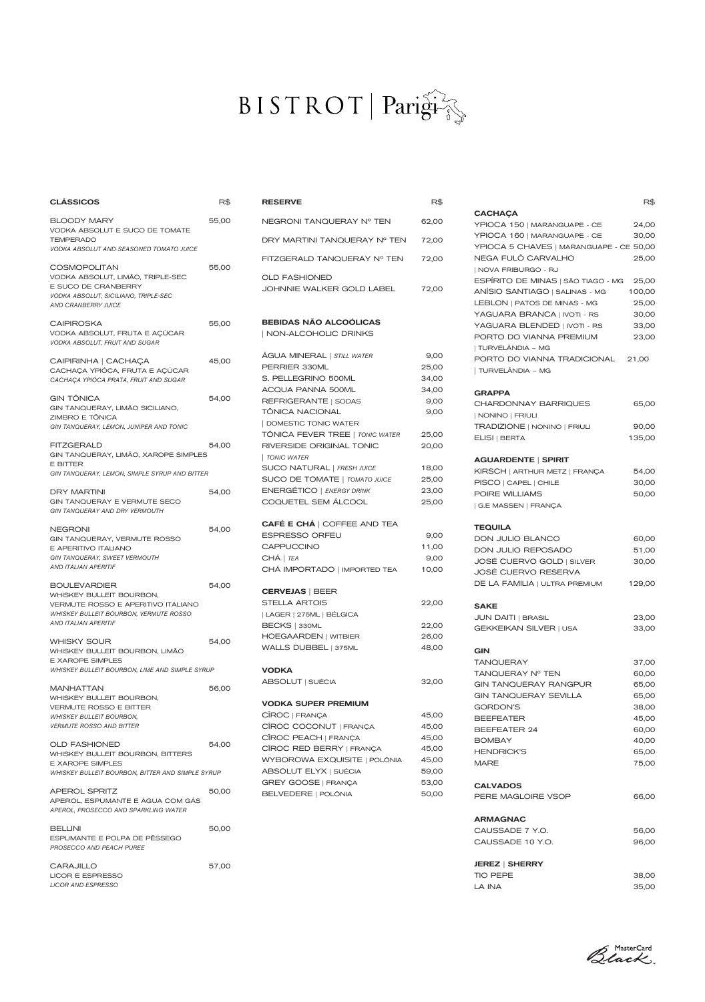#### BISTROT Parisi

| CLÁSSICOS                                                                                                                                                                                       | R\$   |
|-------------------------------------------------------------------------------------------------------------------------------------------------------------------------------------------------|-------|
| BLOODY MARY<br>VODKA ABSOLUT E SUCO DE TOMATE<br><b>TEMPERADO</b>                                                                                                                               | 55,00 |
| <b>VODKA ABSOLUT AND SEASONED TOMATO JUICE</b><br>COSMOPOLITAN<br>VODKA ABSOLUT, LIMÃO, TRIPLE-SEC<br>E SUCO DE CRANBERRY<br>VODKA ABSOLUT, SICILIANO, TRIPLE-SEC<br><b>AND CRANBERRY JUICE</b> | 55,00 |
| CAIPIROSKA<br>VODKA ABSOLUT, FRUTA E AÇÚCAR<br>VODKA ABSOLUT, FRUIT AND SUGAR                                                                                                                   | 55,00 |
| CAIPIRINHA   CACHAÇA<br>CACHAÇA YPIÓCA, FRUTA E AÇÚCAR<br>CACHAÇA YPIÓCA PRATA, FRUIT AND SUGAR                                                                                                 | 45,00 |
| GIN TÔNICA<br>GIN TANQUERAY, LIMÃO SICILIANO,<br>ZIMBRO E TÔNICA<br>GIN TANQUERAY, LEMON, JUNIPER AND TONIC                                                                                     | 54,00 |
| <b>FITZGERALD</b><br>GIN TANQUERAY, LIMÃO, XAROPE SIMPLES<br>E BITTER<br>GIN TANQUERAY, LEMON, SIMPLE SYRUP AND BITTER                                                                          | 54,00 |
| DRY MARTINI<br>GIN TANQUERAY E VERMUTE SECO<br>GIN TANQUERAY AND DRY VERMOUTH                                                                                                                   | 54,00 |
| NEGRONI<br>GIN TANQUERAY, VERMUTE ROSSO<br>E APERITIVO ITALIANO<br>GIN TANQUERAY, SWEET VERMOUTH<br>AND ITALIAN APERITIF                                                                        | 54,00 |
| <b>BOULEVARDIER</b><br>WHISKEY BULLEIT BOURBON,<br>VERMUTE ROSSO E APERITIVO ITALIANO<br>WHISKEY BULLEIT BOURBON, VERMUTE ROSSO<br>AND ITALIAN APERITIF                                         | 54,00 |
| WHISKY SOUR<br>WHISKEY BULLEIT BOURBON, LIMÃO<br><b>E XAROPE SIMPLES</b><br>WHISKEY BULLEIT BOURBON, LIME AND SIMPLE SYRUP                                                                      | 54,00 |
| MANHATTAN<br>WHISKEY BULLEIT BOURBON,<br><b>VERMUTE ROSSO E BITTER</b><br><b>WHISKEY BULLEIT BOURBON,</b><br><b>VERMUTE ROSSO AND BITTER</b>                                                    | 56,00 |
| OLD FASHIONED<br>WHISKEY BULLEIT BOURBON, BITTERS<br><b>E XAROPE SIMPLES</b>                                                                                                                    | 54,00 |
| WHISKEY BULLEIT BOURBON, BITTER AND SIMPLE SYRUP<br>APEROL SPRITZ<br>APEROL, ESPUMANTE E ÁGUA COM GÁS<br>APEROL, PROSECCO AND SPARKLING WATER                                                   | 50,00 |
| BELLINI<br>ESPUMANTE E POLPA DE PÊSSEGO<br>PROSECCO AND PEACH PUREE                                                                                                                             | 50,00 |
| CARAJILLO<br>LICOR E ESPRESSO<br><b>LICOR AND ESPRESSO</b>                                                                                                                                      | 57,00 |

| <b>RESERVE</b>                                                                                                                                                                                                                                                                                                                                                                     | R\$                                                                                                   |
|------------------------------------------------------------------------------------------------------------------------------------------------------------------------------------------------------------------------------------------------------------------------------------------------------------------------------------------------------------------------------------|-------------------------------------------------------------------------------------------------------|
| NEGRONI TANQUERAY Nº TEN                                                                                                                                                                                                                                                                                                                                                           | 62,00                                                                                                 |
| DRY MARTINI TANQUERAY Nº TEN                                                                                                                                                                                                                                                                                                                                                       | 72,00                                                                                                 |
| FITZGERALD TANQUERAY Nº TEN                                                                                                                                                                                                                                                                                                                                                        | 72,00                                                                                                 |
| <b>OLD FASHIONED</b><br>JOHNNIE WALKER GOLD LABEL                                                                                                                                                                                                                                                                                                                                  | 72,00                                                                                                 |
| <b>BEBIDAS NÃO ALCOÓLICAS</b><br>  NON-ALCOHOLIC DRINKS                                                                                                                                                                                                                                                                                                                            |                                                                                                       |
| ÁGUA MINERAL   STILL WATER<br>PERRIER 330ML<br>S. PELLEGRINO 500ML<br><b>ACQUA PANNA 500ML</b><br>REFRIGERANTE   SODAS<br>TÔNICA NACIONAL<br><b>DOMESTIC TONIC WATER</b><br>TÔNICA FEVER TREE   TONIC WATER<br>RIVERSIDE ORIGINAL TONIC<br>  TONIC WATER<br>SUCO NATURAL   FRESH JUICE<br>SUCO DE TOMATE   TOMATO JUICE<br><b>ENERGÉTICO   ENERGY DRINK</b><br>COQUETEL SEM ÁLCOOL | 9,00<br>25,00<br>34,00<br>34,00<br>9,00<br>9,00<br>25,00<br>20,00<br>18,00<br>25,00<br>23,00<br>25,00 |
| <b>CAFÉ E CHÁ   COFFEE AND TEA</b><br><b>ESPRESSO ORFEU</b><br><b>CAPPUCCINO</b><br>CHÁ   <i>TEA</i><br>CHÁ IMPORTADO   IMPORTED TEA                                                                                                                                                                                                                                               | 9,00<br>11,00<br>9,00<br>10,00                                                                        |
| <b>CERVEJAS   BEER</b><br><b>STELLA ARTOIS</b><br>  LAGER   275ML   BÉLGICA<br>BECKS   330ML<br><b>HOEGAARDEN   WITBIER</b><br>WALLS DUBBEL   375ML                                                                                                                                                                                                                                | 22,00<br>22,00<br>26,00<br>48,00                                                                      |
| <b>VODKA</b><br>ABSOLUT   SUÉCIA                                                                                                                                                                                                                                                                                                                                                   | 32,00                                                                                                 |
| <b>VODKA SUPER PREMIUM</b><br>CÎROC   FRANÇA<br>CÎROC COCONUT   FRANÇA<br>CÎROC PEACH   FRANÇA<br>CÎROC RED BERRY   FRANÇA<br>WYBOROWA EXQUISITE   POLÔNIA<br>ABSOLUT ELYX   SUÉCIA<br>GREY GOOSE   FRANÇA<br>BELVEDERE   POLÔNIA                                                                                                                                                  | 45,00<br>45,00<br>45,00<br>45,00<br>45,00<br>59,00<br>53,00<br>50,00                                  |

**CACHAÇA** YPIOCA 150 | MARANGUAPE - CE 24,00 YPIOCA 160 | MARANGUAPE - CE 30,00 YPIOCA 5 CHAVES | MARANGUAPE - CE 50,00 NEGA FULÔ CARVALHO 25,00 | NOVA FRIBURGO - RJ ESPÍRITO DE MINAS | SÃO TIAGO - MG 25,00 ANÍSIO SANTIAGO | SALINAS - MG 100,00 LEBLON | PATOS DE MINAS - MG 25,00 YAGUARA BRANCA | IVOTI - RS 30,00 YAGUARA BLENDED | IVOTI - RS 33,00 PORTO DO VIANNA PREMIUM 23,00 | TURVELÂNDIA – MG PORTO DO VIANNA TRADICIONAL 21,00 | TURVELÂNDIA – MG GRAPPA CHARDONNAY BARRIQUES 65,00 | NONINO | FRIULI TRADIZIONE | NONINO | FRIULI 90,00 ELISI | BERTA 135,00 AGUARDENTE | SPIRIT KIRSCH | ARTHUR METZ | FRANÇA 54,00 PISCO | CAPEL | CHILE 30,00 POIRE WILLIAMS 50,00 | G.E MASSEN | FRANÇA TEQUILA DON JULIO BLANCO 60,00 DON JULIO REPOSADO 51,00 JOSÉ CUERVO GOLD | SILVER 30,00 JOSÉ CUERVO RESERVA DE LA FAMILIA | ULTRA PREMIUM 129,00 SAKE JUN DAITI | BRASIL 23,00 GEKKEIKAN SILVER | USA 33,00 GIN TANQUERAY 37,00 TANQUERAY Nº TEN 60,00 GIN TANQUERAY RANGPUR 65,00 GIN TANQUERAY SEVILLA 65,00 GORDON'S 38,00 BEEFEATER 45,00 BEEFEATER 24 60,00 BOMBAY 40,00 HENDRICK'S 65,00 MARE 75,00 CALVADOS PERE MAGLOIRE VSOP 66,00 ARMAGNAC CAUSSADE 7 Y.O. 56,00 CAUSSADE 10 Y.O. 96,00 JEREZ | SHERRY

R\$

TIO PEPE 38,00 LA INA 35,00

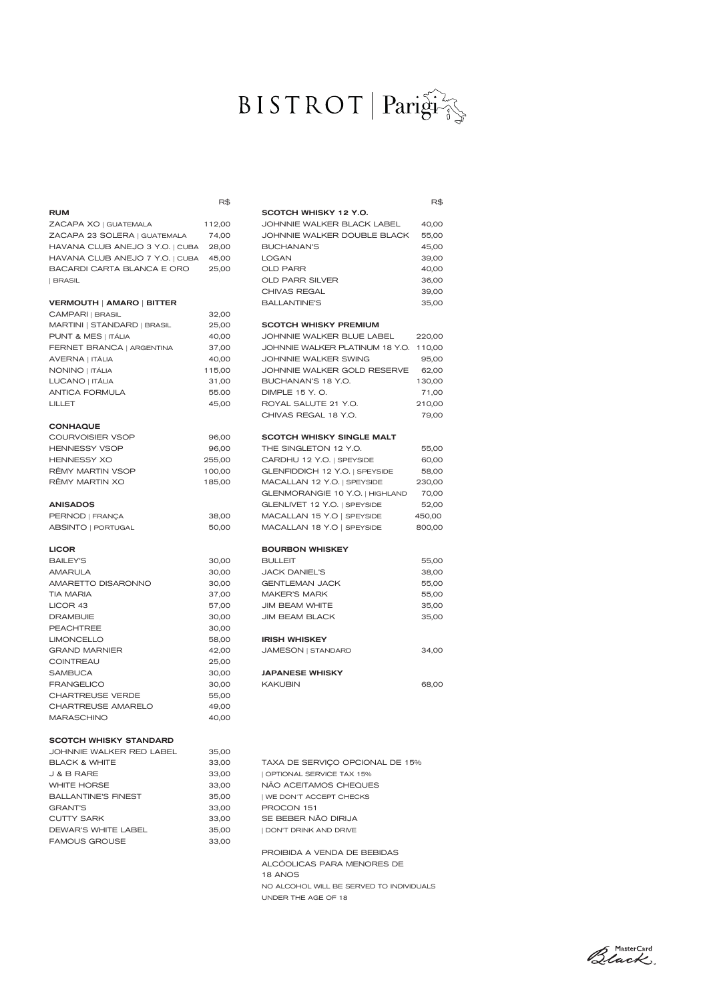# BISTROT Parigi

|                                              | R\$            |                                                   | R\$             |
|----------------------------------------------|----------------|---------------------------------------------------|-----------------|
| <b>RUM</b>                                   |                | SCOTCH WHISKY 12 Y.O.                             |                 |
| ZACAPA XO   GUATEMALA                        | 112,00         | JOHNNIE WALKER BLACK LABEL                        | 40,00           |
| ZACAPA 23 SOLERA   GUATEMALA                 | 74,00          | JOHNNIE WALKER DOUBLE BLACK                       | 55,00           |
| HAVANA CLUB ANEJO 3 Y.O.   CUBA              | 28,00          | <b>BUCHANAN'S</b>                                 | 45,00           |
| HAVANA CLUB ANEJO 7 Y.O.   CUBA              | 45,00          | <b>LOGAN</b>                                      | 39,00           |
| BACARDI CARTA BLANCA E ORO                   | 25,00          | <b>OLD PARR</b>                                   | 40,00           |
| <b>BRASIL</b>                                |                | OLD PARR SILVER                                   | 36,00           |
|                                              |                | CHIVAS REGAL                                      | 39,00           |
| <b>VERMOUTH   AMARO   BITTER</b>             |                | <b>BALLANTINE'S</b>                               | 35,00           |
| CAMPARI   BRASIL                             | 32,00          |                                                   |                 |
| MARTINI   STANDARD   BRASIL                  | 25,00          | <b>SCOTCH WHISKY PREMIUM</b>                      |                 |
| PUNT & MES   ITÁLIA                          | 40,00          | JOHNNIE WALKER BLUE LABEL                         | 220,00          |
| FERNET BRANCA   ARGENTINA                    | 37,00          | JOHNNIE WALKER PLATINUM 18 Y.O.                   | 110,00          |
| AVERNA   ITÁLIA                              | 40,00          | JOHNNIE WALKER SWING                              | 95,00           |
| NONINO   ITÁLIA                              | 115,00         | JOHNNIE WALKER GOLD RESERVE                       | 62,00           |
| LUCANO   ITÁLIA<br><b>ANTICA FORMULA</b>     | 31,00          | BUCHANAN'S 18 Y.O.<br>DIMPLE 15 Y.O.              | 130,00<br>71,00 |
|                                              | 55.00<br>45,00 | ROYAL SALUTE 21 Y.O.                              |                 |
| LILLET                                       |                | CHIVAS REGAL 18 Y.O.                              | 210,00<br>79,00 |
| <b>CONHAQUE</b>                              |                |                                                   |                 |
| <b>COURVOISIER VSOP</b>                      | 96,00          | <b>SCOTCH WHISKY SINGLE MALT</b>                  |                 |
| <b>HENNESSY VSOP</b>                         | 96,00          | THE SINGLETON 12 Y.O.                             | 55,00           |
| <b>HENNESSY XO</b>                           | 255,00         | CARDHU 12 Y.O.   SPEYSIDE                         | 60,00           |
| RÊMY MARTIN VSOP                             | 100,00         | GLENFIDDICH 12 Y.O.   SPEYSIDE                    | 58,00           |
| RÊMY MARTIN XO                               | 185,00         | MACALLAN 12 Y.O.   SPEYSIDE                       | 230,00          |
|                                              |                | GLENMORANGIE 10 Y.O.   HIGHLAND                   | 70,00           |
| <b>ANISADOS</b>                              |                | GLENLIVET 12 Y.O.   SPEYSIDE                      | 52,00           |
| PERNOD   FRANÇA                              | 38,00          | MACALLAN 15 Y.O   SPEYSIDE                        | 450,00          |
| ABSINTO   PORTUGAL                           | 50,00          | MACALLAN 18 Y.O   SPEYSIDE                        | 800,00          |
|                                              |                |                                                   |                 |
| <b>LICOR</b>                                 |                | <b>BOURBON WHISKEY</b>                            |                 |
| <b>BAILEY'S</b>                              | 30,00          | <b>BULLEIT</b>                                    | 55,00           |
| AMARULA                                      | 30,00          | <b>JACK DANIEL'S</b>                              | 38,00           |
| AMARETTO DISARONNO                           | 30,00          | <b>GENTLEMAN JACK</b>                             | 55,00           |
| <b>TIA MARIA</b>                             | 37,00          | <b>MAKER'S MARK</b>                               | 55,00           |
| LICOR 43                                     | 57,00          | <b>JIM BEAM WHITE</b>                             | 35,00           |
| <b>DRAMBUIE</b>                              | 30,00          | <b>JIM BEAM BLACK</b>                             | 35,00           |
| <b>PEACHTREE</b>                             | 30,00          |                                                   |                 |
| <b>LIMONCELLO</b>                            | 58,00          | <b>IRISH WHISKEY</b>                              |                 |
| <b>GRAND MARNIER</b>                         | 42,00          | <b>JAMESON   STANDARD</b>                         | 34,00           |
| <b>COINTREAU</b>                             | 25,00          |                                                   |                 |
| <b>SAMBUCA</b>                               | 30,00          | <b>JAPANESE WHISKY</b>                            |                 |
| <b>FRANGELICO</b>                            | 30,00          | <b>KAKUBIN</b>                                    | 68,00           |
| <b>CHARTREUSE VERDE</b>                      | 55,00          |                                                   |                 |
| CHARTREUSE AMARELO                           | 49,00          |                                                   |                 |
| <b>MARASCHINO</b>                            | 40,00          |                                                   |                 |
|                                              |                |                                                   |                 |
| <b>SCOTCH WHISKY STANDARD</b>                |                |                                                   |                 |
| JOHNNIE WALKER RED LABEL                     | 35,00          |                                                   |                 |
| <b>BLACK &amp; WHITE</b>                     | 33,00          | TAXA DE SERVIÇO OPCIONAL DE 15%                   |                 |
| J & B RARE<br><b>WHITE HORSE</b>             | 33,00          | OPTIONAL SERVICE TAX 15%<br>NÃO ACEITAMOS CHEQUES |                 |
|                                              | 33,00          |                                                   |                 |
| <b>BALLANTINE'S FINEST</b><br><b>GRANT'S</b> | 35,00<br>33,00 | WE DON'T ACCEPT CHECKS<br>PROCON 151              |                 |
| <b>CUTTY SARK</b>                            | 33,00          | SE BEBER NÃO DIRIJA                               |                 |
| DEWAR'S WHITE LABEL                          | 35,00          | DON'T DRINK AND DRIVE                             |                 |
| <b>FAMOUS GROUSE</b>                         | 33,00          |                                                   |                 |
|                                              |                | PROIBIDA A VENDA DE BEBIDAS                       |                 |
|                                              |                | ALCÓOLICAS PARA MENORES DE                        |                 |
|                                              |                | 18 ANOS                                           |                 |
|                                              |                | NO ALCOHOL WILL BE SERVED TO INDIVIDUALS          |                 |
|                                              |                | UNDER THE AGE OF 18                               |                 |
|                                              |                |                                                   |                 |

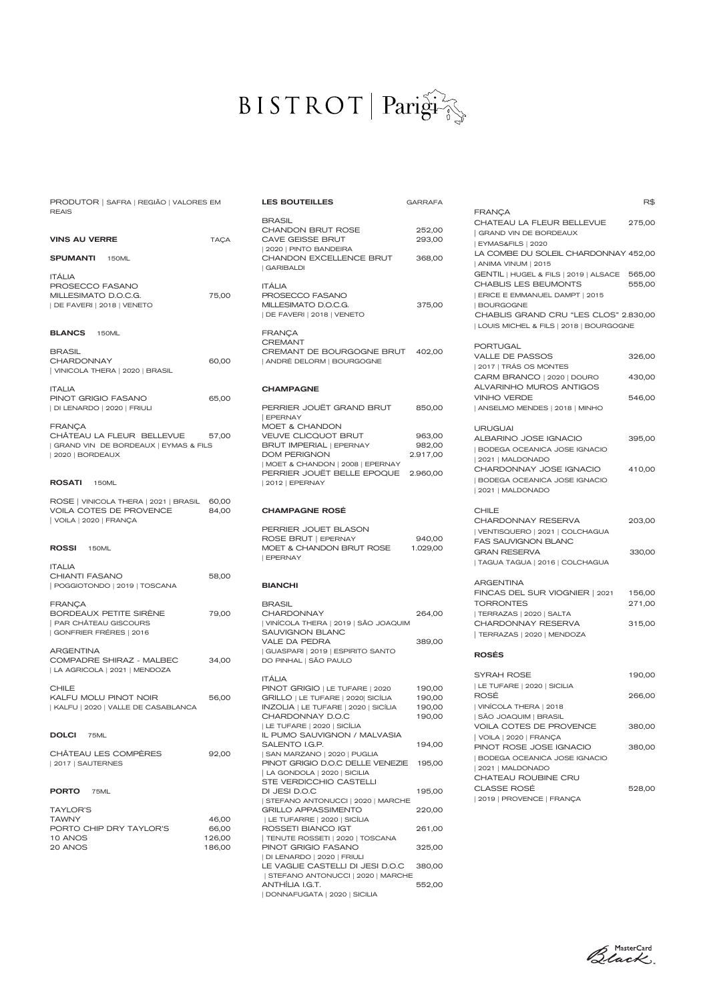### $BISTROT | Pari<sub>9</sub>$

GARRAFA

| PRODUTOR   SAFRA   REGIÃO   VALORES EM                                                                    |                | <b>LES BOUTEILLES</b>                                                                                                      |
|-----------------------------------------------------------------------------------------------------------|----------------|----------------------------------------------------------------------------------------------------------------------------|
| <b>REAIS</b><br><b>VINS AU VERRE</b><br>SPUMANTI<br><b>150ML</b>                                          | <b>TAÇA</b>    | <b>BRASIL</b><br><b>CHANDON BRUT I</b><br>CAVE GEISSE BRU<br>  2020   PINTO BANDE<br><b>CHANDON EXCEL</b><br>  GARIBALDI   |
| <b>ITALIA</b><br>PROSECCO FASANO<br>MILLESIMATO D.O.C.G.<br>  DE FAVERI   2018   VENETO                   | 75,00          | <b>ITÁLIA</b><br>PROSECCO FASAN<br>MILLESIMATO D.O.C<br>  DE FAVERI   2018   V                                             |
| <b>BLANCS</b> 150ML                                                                                       |                | <b>FRANCA</b><br><b>CREMANT</b>                                                                                            |
| <b>BRASIL</b><br><b>CHARDONNAY</b><br>  VINICOLA THERA   2020   BRASIL                                    | 60,00          | CREMANT DE BOL<br>  ANDRÉ DELORM   B                                                                                       |
| <b>ITALIA</b><br>PINOT GRIGIO FASANO                                                                      | 65,00          | <b>CHAMPAGNE</b>                                                                                                           |
| DI LENARDO   2020   FRIULI                                                                                |                | PERRIER JOUËT G<br><b>EPERNAY</b>                                                                                          |
| <b>FRANCA</b><br>CHÂTEAU LA FLEUR BELLEVUE<br>  GRAND VIN DE BORDEAUX   EYMAS & FILS<br>  2020   BORDEAUX | 57,00          | MOET & CHANDOI<br><b>VEUVE CLICQUOT</b><br><b>BRUT IMPERIAL   E</b><br>DOM PERIGNON<br>  MOET & CHANDON<br>PERRIER JOUËT E |
| <b>ROSATI</b><br><b>150ML</b>                                                                             |                | 2012   EPERNAY                                                                                                             |
| ROSE   VINICOLA THERA   2021   BRASIL<br>VOILA COTES DE PROVENCE<br>  VOILA   2020   FRANÇA               | 60,00<br>84,00 | <b>CHAMPAGNE ROS</b>                                                                                                       |
| <b>ROSSI</b><br>150ML                                                                                     |                | PERRIER JOUET E<br>ROSE BRUT   EPEF<br>MOET & CHANDON<br><b>EPERNAY</b>                                                    |
| <b>ITALIA</b><br>CHIANTI FASANO<br>POGGIOTONDO   2019   TOSCANA                                           | 58,00          | <b>BIANCHI</b>                                                                                                             |
| <b>FRANÇA</b><br><b>BORDEAUX PETITE SIRÈNE</b><br>PAR CHÂTEAU GISCOURS<br>  GONFRIER FRÉRES   2016        | 79,00          | <b>BRASIL</b><br>CHARDONNAY<br>  VINÍCOLA THERA   2<br><b>SAUVIGNON BLAN</b><br>VALE DA PEDRA                              |
| <b>ARGENTINA</b><br>COMPADRE SHIRAZ - MALBEC<br>  LA AGRICOLA   2021   MENDOZA                            | 34,00          | GUASPARI   2019   E<br>DO PINHAL   SÃO PA                                                                                  |
| <b>CHILE</b><br>KALFU MOLU PINOT NOIR<br>  KALFU   2020   VALLE DE CASABLANCA                             | 56,00          | <b>ITÁLIA</b><br>PINOT GRIGIO   LE<br><b>GRILLO   LE TUFARE</b><br><b>INZOLIA   LE TUFAR</b><br>CHARDONNAY D.              |
| <b>DOLCI</b><br>75ML                                                                                      |                | LE TUFARE   2020   5<br>IL PUMO SAUVIGN<br>SALENTO I.G.P.                                                                  |
| CHÂTEAU LES COMPÈRES<br>  2017   SAUTERNES                                                                | 92,00          | SAN MARZANO   20:<br>PINOT GRIGIO D.O.<br>  LA GONDOLA   2020                                                              |
| <b>PORTO</b><br>75ML                                                                                      |                | STE VERDICCHIO<br>DI JESI D.O.C<br>  STEFANO ANTONUO                                                                       |
| TAYLOR'S                                                                                                  |                | <b>GRILLO APPASSIM</b>                                                                                                     |
| TAWNY                                                                                                     | 46,00          | LE TUFARRE   2020                                                                                                          |
| PORTO CHIP DRY TAYLOR'S                                                                                   | 66,00          | ROSSETI BIANCO                                                                                                             |
| 10 ANOS                                                                                                   | 126,00         | TENUTE ROSSETI   :                                                                                                         |
| 20 ANOS                                                                                                   | 186,00         | PINOT GRIGIO FAS                                                                                                           |

| BRASIL<br><b>CHANDON BRUT ROSE</b><br>CAVE GEISSE BRUT<br>  2020   PINTO BANDEIRA                                                           | 252,00<br>293,00                     |
|---------------------------------------------------------------------------------------------------------------------------------------------|--------------------------------------|
| CHANDON EXCELLENCE BRUT<br><b>GARIBALDI</b>                                                                                                 | 368,00                               |
| ITÁLIA<br>PROSECCO FASANO<br>MILLESIMATO D.O.C.G.<br>  DE FAVERI   2018   VENETO                                                            | 375,00                               |
| <b>FRANÇA</b><br><b>CREMANT</b><br>CREMANT DE BOURGOGNE BRUT<br>  ANDRÉ DELORM   BOURGOGNE                                                  | 402,00                               |
| <b>CHAMPAGNE</b>                                                                                                                            |                                      |
| PERRIER JOUËT GRAND BRUT<br><b>EPERNAY</b><br>MOET & CHANDON                                                                                | 850,00                               |
| <b>VEUVE CLICQUOT BRUT</b><br><b>BRUT IMPERIAL   EPERNAY</b><br><b>DOM PERIGNON</b>                                                         | 963,00<br>982,00<br>2.917,00         |
| MOET & CHANDON   2008   EPERNAY<br>PERRIER JOUËT BELLE EPOQUE<br>  2012   EPERNAY                                                           | 2.960,00                             |
| <b>CHAMPAGNE ROSÉ</b>                                                                                                                       |                                      |
| PERRIER JOUET BLASON<br>ROSE BRUT   EPERNAY<br>MOET & CHANDON BRUT ROSE<br><b>EPERNAY</b>                                                   | 940,00<br>1.029,00                   |
|                                                                                                                                             |                                      |
| <b>BIANCHI</b>                                                                                                                              |                                      |
| <b>BRASIL</b><br><b>CHARDONNAY</b><br>  VINÍCOLA THERA   2019   SÃO JOAQUIM                                                                 | 264,00                               |
| SAUVIGNON BLANC<br>VALE DA PEDRA<br>  GUASPARI   2019   ESPIRITO SANTO<br>DO PINHAL   SÃO PAULO                                             | 389,00                               |
| ITÁLIA<br>PINOT GRIGIO   LE TUFARE   2020<br>GRILLO   LE TUFARE   2020  SICÍLIA<br>INZOLIA   LE TUFARE   2020   SICÍLIA<br>CHARDONNAY D.O.C | 190,00<br>190,00<br>190,00<br>190,00 |
| LE TUFARE   2020   SICÍLIA<br>IL PUMO SAUVIGNON / MALVASIA<br>SALENTO I.G.P.                                                                | 194,00                               |
| SAN MARZANO   2020   PUGLIA<br>PINOT GRIGIO D.O.C DELLE VENEZIE<br>  LA GONDOLA   2020   SICILIA                                            | 195,00                               |
| STE VERDICCHIO CASTELLI<br>DI JESI D.O.C                                                                                                    | 195,00                               |
| STEFANO ANTONUCCI   2020   MARCHE<br><b>GRILLO APPASSIMENTO</b>                                                                             | 220,00                               |
| LE TUFARRE   2020   SICÍLIA<br>ROSSETI BIANCO IGT                                                                                           | 261,00                               |
| TENUTE ROSSETI   2020   TOSCANA<br>PINOT GRIGIO FASANO<br>  DI LENARDO   2020   FRIULI                                                      | 325,00                               |
| LE VAGLIE CASTELLI DI JESI D.O.C<br>  STEFANO ANTONUCCI   2020   MARCHE                                                                     | 380,00                               |

|                                                                                    | R\$              |
|------------------------------------------------------------------------------------|------------------|
| FRANÇA<br>CHATEAU LA FLEUR BELLEVUE                                                | 275,00           |
| GRAND VIN DE BORDEAUX<br>  EYMAS&FILS   2020                                       |                  |
| LA COMBE DU SOLEIL CHARDONNAY 452,00<br>  ANIMA VINUM   2015                       |                  |
| GENTIL   HUGEL & FILS   2019   ALSACE<br>CHABLIS LES BEUMONTS                      | 565,00<br>555,00 |
| ERICE E EMMANUEL DAMPT   2015<br><b>BOURGOGNE</b>                                  |                  |
| CHABLIS GRAND CRU "LES CLOS" 2.830,00                                              |                  |
| LOUIS MICHEL & FILS   2018   BOURGOGNE                                             |                  |
| <b>PORTUGAL</b><br><b>VALLE DE PASSOS</b>                                          | 326,00           |
| 2017   TRÁS OS MONTES<br>CARM BRANCO   2020   DOURO                                | 430,00           |
| ALVARINHO MUROS ANTIGOS<br><b>VINHO VERDE</b>                                      | 546,00           |
| ANSELMO MENDES   2018   MINHO                                                      |                  |
| <b>URUGUAI</b>                                                                     |                  |
| ALBARINO JOSE IGNACIO<br><b>BODEGA OCEANICA JOSE IGNACIO</b>                       | 395,00           |
| 2021   MALDONADO<br>CHARDONNAY JOSE IGNACIO                                        | 410,00           |
| <b>BODEGA OCEANICA JOSE IGNACIO</b><br>  2021   MALDONADO                          |                  |
| CHILE                                                                              |                  |
| CHARDONNAY RESERVA<br>VENTISQUERO   2021   COLCHAGUA<br><b>FAS SAUVIGNON BLANC</b> | 203,00           |
| <b>GRAN RESERVA</b>                                                                | 330,00           |
| TAGUA TAGUA   2016   COLCHAGUA                                                     |                  |
| ARGENTINA<br>FINCAS DEL SUR VIOGNIER   2021                                        | 156,00           |
| <b>TORRONTES</b><br>  TERRAZAS   2020   SALTA                                      | 271,00           |
| CHARDONNAY RESERVA                                                                 | 315,00           |
| TERRAZAS   2020   MENDOZA                                                          |                  |
| <b>ROSÉS</b>                                                                       |                  |
| <b>SYRAH ROSE</b><br>  LE TUFARE   2020   SICILIA                                  | 190,00           |
| ROSÉ                                                                               | 266,00           |
| VINÍCOLA THERA   2018<br>  SÃO JOAQUIM   BRASIL                                    |                  |
| VOILA COTES DE PROVENCE<br>  VOILA   2020   FRANÇA                                 | 380,00           |
| PINOT ROSE JOSE IGNACIO<br>  BODEGA OCEANICA JOSE IGNACIO                          | 380,00           |
| 2021   MALDONADO                                                                   |                  |
| CHATEAU ROUBINE CRU<br><b>CLASSE ROSÉ</b>                                          | 528,00           |
| 2019   PROVENCE   FRANÇA                                                           |                  |
|                                                                                    |                  |

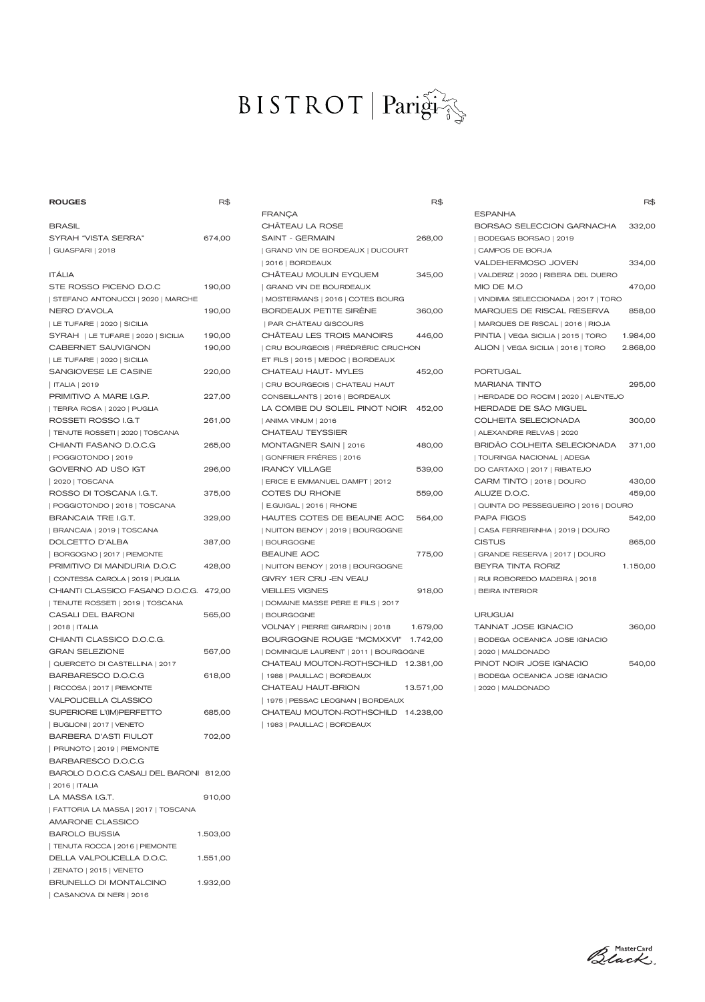# $\text{BISTROT} \mid \text{Pari}\widehat{\mathbf{g}}\widehat{\mathbf{f}}$

| <b>ROUGES</b>                             | R\$      |
|-------------------------------------------|----------|
| <b>BRASIL</b>                             |          |
| SYRAH "VISTA SERRA"                       | 674,00   |
| GUASPARI   2018                           |          |
| <b>ITÁLIA</b>                             |          |
| STE ROSSO PICENO D.O.C                    | 190,00   |
| STEFANO ANTONUCCI   2020   MARCHE         |          |
| <b>NERO D'AVOLA</b>                       | 190,00   |
| LE TUFARE   2020   SICILIA                |          |
| SYRAH   LE TUFARE   2020   SICILIA        | 190,00   |
| CABERNET SAUVIGNON                        | 190,00   |
| LE TUFARE   2020   SICILIA                |          |
| SANGIOVESE LE CASINE                      | 220,00   |
| ITALIA   2019                             |          |
| PRIMITIVO A MARE I.G.P.                   | 227,00   |
| TERRA ROSA   2020   PUGLIA                |          |
| ROSSETI ROSSO I.G.T                       | 261,00   |
| TENUTE ROSSETI   2020   TOSCANA           |          |
| CHIANTI FASANO D.O.C.G                    | 265,00   |
| POGGIOTONDO   2019                        |          |
| GOVERNO AD USO IGT                        | 296,00   |
| 2020   TOSCANA<br>ROSSO DI TOSCANA I.G.T. | 375,00   |
| POGGIOTONDO   2018   TOSCANA              |          |
| <b>BRANCAIA TRE I.G.T.</b>                | 329,00   |
| BRANCAIA   2019   TOSCANA                 |          |
| DOLCETTO D'ALBA                           | 387,00   |
| BORGOGNO   2017   PIEMONTE                |          |
| PRIMITIVO DI MANDURIA D.O.C               | 428,00   |
| CONTESSA CAROLA   2019   PUGLIA           |          |
| CHIANTI CLASSICO FASANO D.O.C.G. 472,00   |          |
| TENUTE ROSSETI   2019   TOSCANA           |          |
| CASALI DEL BARONI                         | 565,00   |
| 2018   ITALIA                             |          |
| CHIANTI CLASSICO D.O.C.G.                 |          |
| <b>GRAN SELEZIONE</b>                     | 567,00   |
| QUERCETO DI CASTELLINA   2017             |          |
| BARBARESCO D.O.C.G                        | 618,00   |
| RICCOSA   2017   PIEMONTE                 |          |
| VALPOLICELLA CLASSICO                     |          |
| SUPERIORE L'(IM)PERFETTO                  | 685,00   |
| BUGLIONI   2017   VENETO                  |          |
| <b>BARBERA D'ASTI FIULOT</b>              | 702,00   |
| PRUNOTO   2019   PIEMONTE                 |          |
| BARBARESCO D.O.C.G                        |          |
| BAROLO D.O.C.G CASALI DEL BARONI 812,00   |          |
| 2016   ITALIA                             |          |
| LA MASSA I.G.T.                           | 910,00   |
| FATTORIA LA MASSA   2017   TOSCANA        |          |
| <b>AMARONE CLASSICO</b>                   |          |
| <b>BAROLO BUSSIA</b>                      | 1.503,00 |
| TENUTA ROCCA   2016   PIEMONTE            |          |
| DELLA VALPOLICELLA D.O.C.                 | 1.551,00 |
| ZENATO   2015   VENETO                    |          |
| BRUNELLO DI MONTALCINO                    | 1.932,00 |

|                                      | R\$       |
|--------------------------------------|-----------|
| FRANÇA                               |           |
| CHÄTEAU LA ROSE                      |           |
| <b>SAINT - GERMAIN</b>               | 268,00    |
| GRAND VIN DE BORDEAUX   DUCOURT      |           |
| 2016   BORDEAUX                      |           |
| CHÂTEAU MOULIN EYQUEM                | 345,00    |
| <b>GRAND VIN DE BOURDEAUX</b>        |           |
| MOSTERMANS   2016   COTES BOURG      |           |
| BORDEAUX PETITE SIRÈNE               | 360,00    |
| PAR CHÂTEAU GISCOURS                 |           |
| CHÂTEAU LES TROIS MANOIRS            | 446,00    |
| CRU BOURGEOIS   FRÉDRÉRIC CRUCHON    |           |
| ET FILS   2015   MEDOC   BORDEAUX    |           |
| <b>CHATEAU HAUT- MYLES</b>           | 452,00    |
| CRU BOURGEOIS   CHATEAU HAUT         |           |
| CONSEILLANTS   2016   BORDEAUX       |           |
| LA COMBE DU SOLEIL PINOT NOIR 452,00 |           |
| ANIMA VINUM   2016                   |           |
| <b>CHATEAU TEYSSIER</b>              |           |
| MONTAGNER SAIN   2016                | 480,00    |
| GONFRIER FRÉRES   2016               |           |
| <b>IRANCY VILLAGE</b>                | 539,00    |
| ERICE E EMMANUEL DAMPT   2012        |           |
| COTES DU RHONE                       | 559,00    |
| E.GUIGAL   2016   RHONE              |           |
| HAUTES COTES DE BEAUNE AOC           | 564,00    |
| NUITON BENOY   2019   BOURGOGNE      |           |
| BOURGOGNE                            |           |
| <b>BEAUNE AOC</b>                    | 775,00    |
| NUITON BENOY   2018   BOURGOGNE      |           |
| GIVRY 1ER CRU - EN VEAU              |           |
| <b>VIEILLES VIGNES</b>               | 918,00    |
| DOMAINE MASSE PÉRE E FILS   2017     |           |
| <b>BOURGOGNE</b>                     |           |
| VOLNAY   PIERRE GIRARDIN   2018      | 1.679,00  |
| BOURGOGNE ROUGE "MCMXXVI"            | 1.742,00  |
| DOMINIQUE LAURENT   2011   BOURGOGNE |           |
| CHATEAU MOUTON-ROTHSCHILD            | 12.381,00 |
| 1988   PAUILLAC   BORDEAUX           |           |
| CHATEAU HAUT-BRION                   | 13.571,00 |
| 1975   PESSAC LEOGNAN   BORDEAUX     |           |
| CHATEAU MOUTON-ROTHSCHILD 14.238,00  |           |
| 1983   PAUILLAC   BORDEAUX           |           |

|                                      | к⊅       |
|--------------------------------------|----------|
| ESPANHA                              |          |
| BORSAO SELECCION GARNACHA            | 332,00   |
| BODEGAS BORSAO   2019                |          |
| <b>CAMPOS DE BORJA</b>               |          |
| VALDEHERMOSO JOVEN                   | 334,00   |
| VALDERIZ   2020   RIBERA DEL DUERO   |          |
| MIO DE M.O                           | 470,00   |
| VINDIMIA SELECCIONADA   2017   TORO  |          |
| MARQUES DE RISCAL RESERVA            | 858,00   |
| MARQUES DE RISCAL   2016   RIOJA     |          |
| PINTIA   VEGA SICILIA   2015   TORO  | 1.984,00 |
| ALION   VEGA SICILIA   2016   TORO   | 2.868,00 |
|                                      |          |
| <b>PORTUGAL</b>                      |          |
| <b>MARIANA TINTO</b>                 | 295,00   |
| HERDADE DO ROCIM   2020   ALENTEJO   |          |
| HERDADE DE SÃO MIGUEL                |          |
| COLHEITA SELECIONADA                 | 300,00   |
| ALEXANDRE RELVAS   2020              |          |
| BRIDÂO COLHEITA SELECIONADA          | 371,00   |
| TOURINGA NACIONAL   ADEGA            |          |
| DO CARTAXO   2017   RIBATEJO         |          |
| CARM TINTO   2018   DOURO            | 430,00   |
| ALUZE D.O.C.                         | 459,00   |
| QUINTA DO PESSEGUEIRO   2016   DOURO |          |
| <b>PAPA FIGOS</b>                    | 542,00   |
| CASA FERREIRINHA   2019   DOURO      |          |
| <b>CISTUS</b>                        | 865,00   |
| GRANDE RESERVA   2017   DOURO        |          |
| <b>BEYRA TINTA RORIZ</b>             | 1.150,00 |
| RUI ROBOREDO MADEIRA   2018          |          |
| <b>BEIRA INTERIOR</b>                |          |
| <b>URUGUAI</b>                       |          |
| TANNAT JOSE IGNACIO                  | 360,00   |
| $\frac{1}{2}$                        |          |

| <b>TANNAT JOSE IGNACIO</b>   | 360.00 |
|------------------------------|--------|
| BODEGA OCEANICA JOSE IGNACIO |        |
| 2020   MALDONADO             |        |
| PINOT NOIR JOSE IGNACIO      | 540.00 |
| BODEGA OCEANICA JOSE IGNACIO |        |
| 2020   MALDONADO             |        |